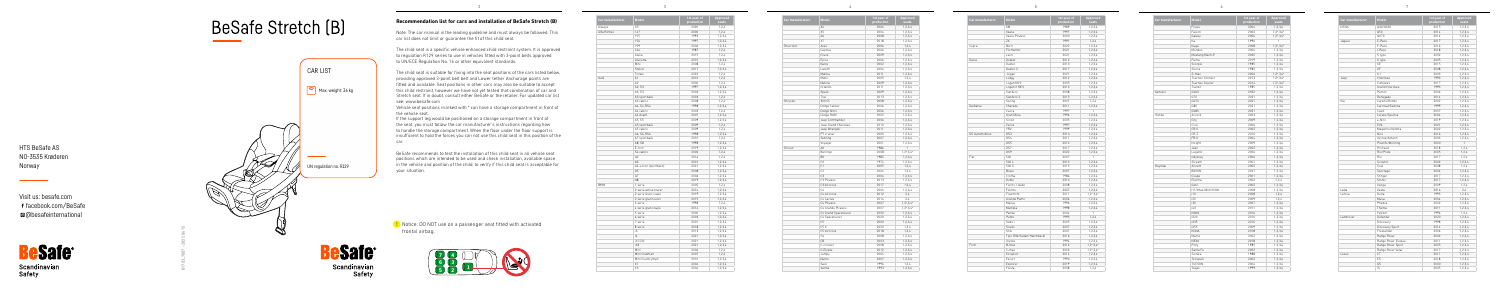## **Recommendation list for cars and installation of BeSafe Stretch (B)**

Note: The car manual is the leading guideline and must always be followed. This car list does not limit or guarantee the fit of this child seat.

The child seat is a specific vehicle enhanced child restraint system. It is approved to regulation R129 series to use in vehicles fitted with 3-point belts approved to UN/ECE Regulation No. 16 or other equivalent standards.

The child seat is suitable for fixing into the seat positions of the cars listed below, providing approved 3-point belt belt and Lower tether Anchorage points are fitted and available. Seat positions in other cars may also be suitable to accept this child restraint, however we have not yet tested that combination of car and Stretch seat. If in doubt, consult either BeSafe or the retailer. For updated car list see: www.besafe.com

**!** Notice: DO NOT use on a passenger seat fitted with activated frontal airbag.



Scandinavian<br>Safety

Vehicle seat positions marked with \* can have a storage compartment in front of the vehicle seat.

If the support leg would be positioned on a storage compartment in front of the seat, you must follow the car manufacturer's instructions regarding how to handle the storage compartment. When the floor under the floor support is insufficient to hold the forces you can not use this child seat in this position of the car.

BeSafe recommends to test the installation of this child seat in all vehicle seat positions which are intended to be used and check installation, available space in the vehicle and position of the child, to verify if this child seat is acceptable for your situation.



2

3

4

5

6

| Car manufacturer | Model                 | 1st year of<br>production | Approved<br>seats |
|------------------|-----------------------|---------------------------|-------------------|
| Aiways           | U <sub>5</sub>        | 2020                      | 1,2,4             |
| Alfa Romeo       | 147                   | 2000                      | 1.2.4             |
|                  | 155                   | 1992                      | 1,2,3,4           |
|                  | 156                   | 1997                      | 1,2,3,4           |
|                  | 159                   | 2006                      | 1,2,3,4           |
|                  | 164                   | 1987                      | 1,2,4             |
|                  | Giulia                | 2015                      | 1.2.4             |
|                  | Giulietta             | 2010                      | 1,2,3,4           |
|                  | Mito                  | 2008                      | 1,2,4             |
|                  | Stelvio               | 2017                      | 1.2.3.4           |
|                  | Tonale                | 2022                      | 1,2,4             |
| Audi             | A1                    | 2010                      | 1.2.4             |
|                  | A2                    | 2000                      | 1,2,4             |
|                  | A3. S3                | 1997                      | 1,2,3,4           |
|                  | A3. S3                | 2003                      | 1.2.3.4           |
|                  | A3 sportback          | 2003                      | 1, 2, 4           |
|                  | A3 cabrio             | 2008                      | 1,2,4             |
|                  | A4, S4, RS4           | 1998                      | 1,2,3,4           |
|                  | A4 cabrio             | 2002                      | 1,2,4             |
|                  | A4 Avant              | 2007                      | 1.2.3.4           |
|                  | A5. S5                | 2009                      | 1,2,3,4           |
|                  | A5 sportback          | 2009                      | 1,2,4             |
|                  | A5 cabrio             | 2009                      | 1.2.4             |
|                  | A6, S6, RS6           | 1998                      | 1.2.3.4           |
|                  | A7 sportback          | 2010                      | 1,2,4             |
|                  | A8, S8                | 1998                      | 1,2,3,4           |
|                  | E-tron                | 2019                      | 1,2,3,4           |
|                  | S4 cabrio             | 2002                      | 1,2,4             |
|                  | 02                    | 2016                      | 1.2.4             |
|                  | Q3                    | 2010                      | 1,2,3,4           |
|                  | Q4 e-tron (sportback) | 2021                      | 1,2,3,4           |
|                  | 05                    | 2008                      | 1,2,3,4           |
|                  | Q7                    | 2006                      |                   |
|                  |                       |                           | 1,2,3,4           |
| <b>BMW</b>       | Q8                    | 2019                      | 1.2.3.4           |
|                  | 1 serie               | 2005                      | 1,2,4             |
|                  | 2 serie active tourer | 2014                      | 1,2,3,4           |
|                  | 2 serie Gran coupé    | 2019                      | 1,2,3,4           |
|                  | 2 serie gran tourer   | 2015                      | 1,2,3,4           |
|                  | 3 serie               | 1998                      | 1,2,4             |
|                  | 4 serie gran coupe    | 2014                      | 1.2.3.4           |
|                  | 5 serie               | 2000                      | 1,2,3,4           |
|                  | 6 serie               | 2003                      | 1,2,3,4           |
|                  | 7 serie               | 2001                      | 1,2,3,4           |
|                  | 8 serie               | 2018                      | 1,2,3,4           |
|                  | i3                    | 2013                      | 1,2,3,4           |
|                  | 4                     | 2021                      | 1,2,3,4           |
|                  | iX (i20)              | 2021                      | 1,2,3,4           |
|                  | iX3                   | 2021                      | 1,2,3,4           |
|                  | Mini                  | 2006                      | 1,2,4             |
|                  | Mini Clubman          | 2007                      | 1,2,4             |
|                  | Mini Countryman       | 2010                      | 1,2,3,4           |
|                  | X1                    | 2004                      | 1,2,3,4           |
|                  | X3                    | 2004                      | 1,2,3,4           |

| Car manufacturer | Model                                  | 1st year of<br>production | Approved<br>seats   |
|------------------|----------------------------------------|---------------------------|---------------------|
|                  | Χ4                                     | 2004                      | 1,2,3,4             |
|                  | X5                                     | 2004                      | 1,2,3,4             |
|                  | X6                                     | 2008                      | 1.2.3.4             |
|                  | X7                                     | 2018                      | 1,2,3,4             |
| Chevrolet        | Aveo                                   | 2006                      | 1.2.4               |
|                  | Captiva                                | 2006                      | 1,2,3,4             |
|                  | Cruze                                  | 2009                      | 1,2,3,4             |
|                  | Epica                                  | 2006                      | 1.2.3.4             |
|                  | Kalos                                  | 2002                      | 1,2,3,4             |
|                  | Lacetti                                | 2004                      | 1,2,3,4             |
|                  | Malibu                                 | 2011                      | 1,2,3,4             |
|                  | Matiz                                  | 2005                      | 1,2,4               |
|                  | Nubira                                 | 2009                      | 1, 2, 3, 4          |
|                  | Orlando                                | 2011                      | 1,2,3,4             |
|                  | Spark                                  | 2009                      | 1,2,3,4             |
|                  | Trax                                   | 2013                      | 1,2,3,4             |
| Chrysler         | 300 CC                                 | 2008                      | 1,2,3,4             |
|                  | Dodge Caliber                          | 2006                      | 1,2,3,4             |
|                  | Dodge Nitro                            | 2006                      | 1,2,3,4             |
|                  | Dodge RAM                              | 2002                      | 1,2,3,4             |
|                  | Jeep Commander                         | 2006                      | 1,2,3,4             |
|                  | Jeep Grand Cherokee                    | 2010                      | 1,2,3,4             |
|                  | Jeep Wrangler                          | 2011                      | 1.2.3.4             |
|                  | PT cruiser                             | 2000                      | 1,2,3,4             |
|                  | Sebring                                | 2007                      | 1,2,3,4             |
|                  | Voyager                                | 2001                      | 1,2,3,4             |
| Citroen          | AX                                     | 1986                      | $\mathbf{1}$        |
|                  | Berlingo                               | 2008                      | $1, 2^*, 3, 4^*$    |
|                  | <b>BX</b>                              | 1982                      | 1.2.3.4             |
|                  | <b>CX</b>                              | 1974                      | 1,2,3,4             |
|                  | C1                                     | 2005                      | 1,2,4               |
|                  | C <sub>2</sub>                         | 2004                      | 1,2,4               |
|                  | C.3                                    | 2004                      | 1,2,3,4             |
|                  | C3 Picasso                             | 2013                      | 1,2,3,4             |
|                  | C3 Aircross                            | 2017                      | 1.2.4               |
|                  | C.4                                    | 2004                      | 1,2,3,4             |
|                  | C4 Aircross                            | 2012                      | 2.4                 |
|                  | C4 Cactus                              | 2014                      | 2.4                 |
|                  | C4 Picasso                             | 2007                      | $1, 2^*, 3, 4^*$    |
|                  |                                        |                           |                     |
|                  | C4 Grande Picasso                      | 2007<br>2020              | $1, 2^*$ , $3, 4^*$ |
|                  | C4 Grand Spacetourer<br>C4 Spacetourer | 2020                      | 1,2,3,4<br>1,2,3,4  |
|                  | C <sub>5</sub>                         | 2000                      | 1,2,3,4             |
|                  | C5 X                                   | 2022                      | 1,2,4               |
|                  | C5 Aircross                            | 2018                      | 1,2,4               |
|                  | C6                                     |                           |                     |
|                  |                                        | 2008                      | 1,2,3,4             |
|                  | C <sub>8</sub>                         | 2003                      | 1,2,3,4             |
|                  | C-crosser                              | 2008                      | 1,2,3,4             |
|                  | C-Elysée                               | 2012                      | 1,2,3,4             |
|                  | Jumpy                                  | 2004                      | 1,2,3,4             |
|                  | Nemo                                   | 2007                      | 1,2,3,4             |
|                  | Saxo                                   | 1996                      | 1,2,4               |
|                  | Xantia                                 | 1993                      | 1.2.3.4             |

| Car manufacturer      | Model                     | 1st year of<br>production | Approved<br>seats |
|-----------------------|---------------------------|---------------------------|-------------------|
|                       | XM                        | 1989                      | 1.2.3.4           |
|                       | Xsara                     | 1997                      | 1,2,3,4           |
|                       | Xsara Picasso             | 2000                      | 1,2,3,4           |
|                       | ZX                        | 1991                      | 1.2.4             |
| Cupra                 | Born                      | 2022                      | 1,2,3,4           |
|                       | Formentor                 | 2021                      | 1.2.3.4           |
|                       | I eon                     | 2021                      | 1,2,3,4           |
| Dacia                 | Dokker                    | 2012                      | 1,2,3,4           |
|                       | Duster                    | 2010                      | 1.2.3.4           |
|                       | Duster 2                  | 2017                      | 1,2,3,4           |
|                       | Jogger                    | 2021                      | 1,2,3,4           |
|                       | Lodgy                     | 2012                      | 1.2.3.4           |
|                       | Logan MVC                 | 2005                      | 1,2,3,4           |
|                       | Logan 2 MCV               | 2013                      | 1,2,3,4           |
|                       | Sandero                   | 2008                      | 1,2,3,4           |
|                       | Sandero 2                 | 2013                      | 1,2,3,4           |
|                       | Spring                    | 2021                      | 1,2,4             |
| Daihatsu              | Charade                   | 2011                      | 1.2.3.4           |
|                       | Cuora                     | 1997                      | 1                 |
|                       | Gran Move                 | 1996                      | 1.2.3.4           |
|                       | Sirion                    | 2005                      | 1,2,3,4           |
|                       | Terios                    | 1997                      | 1,2,3,4           |
|                       | <b>YRV</b>                | 1999                      | 1,2,3,4           |
| <b>DS Automobiles</b> | DS3                       | 2010                      | 1.2.3.4           |
|                       | DS4                       | 2011                      | 1,2,3,4           |
|                       | DS5                       | 2012                      | 1,2,3,4           |
|                       | DS7                       | 2017                      | 1,2,3,4           |
|                       | DS9                       | 2022                      | 1,2,3,4           |
| Fiat                  | 500                       | 2007                      | 1                 |
|                       | 500L                      | 2013                      | 1,2,3,4           |
|                       | 500 X                     | 2015                      | 1,2,3,4           |
|                       | Bravo                     | 2007                      | 1,2,3,4           |
|                       | Croma                     | 1986                      | 1,2,3,4           |
|                       | Doblò                     | 2010                      | 1,2,3,4           |
|                       | Fiorno / Qubo             | 2008                      | 1.2.3.4           |
|                       | Fiorino                   | 2007                      | 1,2,3,4           |
|                       | Freemont                  | 2011                      | $1, 2^*, 3, 4^*$  |
|                       | Grande Punto              | 2006                      | 1,2,3,4           |
|                       | Marea                     | 1996                      | 1,2,3,4           |
|                       | Multipla                  | 1998                      | 1,2,3,4           |
|                       | Panda                     | 2004                      | 1                 |
|                       | Punto                     | 1993                      | 1,2,4             |
|                       | Sedici                    | 2005                      | 1.2.3.4           |
|                       | Scudo                     | 2007                      | 1,2,3,4           |
|                       | Stilo                     | 2001                      | 1,2,3,4           |
|                       | Tipo (SW/Sedan/Hatchback) | 2016                      | 1,2,3,4           |
|                       | Ulysse                    | 1994                      | 1,2,3,4           |
| Ford                  | B-max                     | 2012                      | $1, 2^*, 3, 4^*$  |
|                       | C-max                     | 2003                      | $1, 2^*, 3, 4^*$  |
|                       | Ecosport                  | 2014                      | 1,2,3,4           |
|                       | Escort                    | 1990                      | 1,2,3,4           |
|                       | Explorer                  | 2019                      | 1,2,3,4           |
|                       | Fiesta                    | 2008                      | 1,2,4             |

| Car manufacturer | Model             | 1st vear of<br>production | Approve<br>seats   |
|------------------|-------------------|---------------------------|--------------------|
|                  | Focus             | 2004                      | 1,2,3,4            |
|                  | Fusion            | 2002                      | $1, 2^*$ , $3, 4$  |
|                  | Galaxy            | 2006                      | $1, 2^*, 3, 4$     |
|                  | Ka                | 1996                      | 1                  |
|                  | Kuga              | 2008                      | $1, 2^*, 3, 4$     |
|                  | Mondeo            | 2000                      | 1,2,3,4            |
|                  | Mustang Mach-E    | 2020                      | 1,2,3,4            |
|                  | Puma              | 2019                      | 1,2,3,4            |
|                  | Scorpio           | 1985                      | 1,2,3,4            |
|                  | Sierra            | 1982                      | 1,2,3,4            |
|                  | S-max             | 2006                      | $1, 2^*, 3, 4$     |
|                  | Tourneo Connect   | 2013                      | $1, 2^*$ , $3, 4$  |
|                  | Tourneo Courier   | 2014                      | $1, 2^*, 3, 4$     |
|                  | Transit           | 1985                      | 1,2,3,4            |
| Genesis          | GV60              | 2022                      | 1,2,3,4            |
|                  | G70               | 2021                      | 1,2,3,4            |
|                  | <b>GV70</b>       | 2021                      | 1,2,3,4            |
|                  | G80               | 2021                      | 1,2,3,4            |
|                  | GV80              | 2021                      | 1,2,3,4            |
| Honda            | Accord            | 2003                      | 1,2,3,4            |
|                  | City              | 2009                      | 1,2,3,4            |
|                  | Civic             | 2006                      |                    |
|                  | CR-V              | 2002                      | 1,2,3,4<br>1,2,3,4 |
|                  |                   |                           |                    |
|                  | CR-Z              | 2010                      | 1,2,3,4            |
|                  | FR-V              | 2004                      | 1,2,3,4            |
|                  | Insight           | 2009                      | 1,2,3,4            |
|                  | Jazz              | 2002                      | 1,2,3,4            |
|                  | Legend            | 2006                      | 1,2,3,4            |
|                  | Odyssey           | 2006                      | 1,2,3,4            |
|                  | Stream            | 2001                      | 1,2,3,4            |
| Huyndai          | Accent            | 2002                      | 1,2,3,4            |
|                  | BAYON             | 2021                      | 1,2,3,4            |
|                  | Coupe             | 2001                      | 1,2,3,4            |
|                  | Elantra           | 2002                      | 1.2.4              |
|                  | Getz              | 2002                      | 1,2,3,4            |
|                  | H1/iMax/i800/H300 | 2008                      | 1,2,3,4            |
|                  | i10               | 2008                      | 1, 2, 4            |
|                  | i20               | 2009                      | 1,2,4              |
|                  | i30               | 2007                      | 1,2,3,4            |
|                  | i40               | 2011                      | 1,2,3,4            |
|                  | <b>IONIQ</b>      | 2016                      | 1,2,3,4            |
|                  | iX20              | 2010                      | 1,2,3,4            |
|                  | iX35              | 2010                      | 1,2,3,4            |
|                  | iX55              | 2009                      | 1,2,3,4            |
|                  | KONA              | 2018                      | 1,2,3,4            |
|                  | Matrix            | 2002                      | 1,2,3,4            |
|                  | <b>NEXO</b>       | 2018                      | 1,2,3,4            |
|                  | Pony              | 1985                      | 1,2,3,4            |
|                  | Santa Fe          | 2002                      | 1,2,3,4            |
|                  | Sonata            | 1988                      | 1,2,3,4            |
|                  | Terracan          | 2002                      | 1,2,3,4            |
|                  | <b>TUCSON</b>     | 2004                      | 1,2,3,4            |
|                  | Traiet            | 1999                      | 1,2,3,4            |
|                  |                   |                           |                    |

| Model             | 1st year of | Approved          |
|-------------------|-------------|-------------------|
|                   | production  | seats             |
| Focus             | 2004        | 1,2,3,4           |
| Fusion            | 2002        | $1, 2^*, 3, 4^*$  |
| Galaxy            | 2006        | $1, 2^*, 3, 4^*$  |
| Ka                | 1996        | 1                 |
| Kuga              | 2008        | $1,2^*,3,4^*$     |
| Mondeo            | 2000        | 1,2,3,4           |
| Mustang Mach-E    | 2020        | 1,2,3,4           |
| Puma              | 2019        | 1,2,3,4           |
| Scorpio           | 1985        | 1,2,3,4           |
| Sierra            | 1982        | 1,2,3,4           |
| S-max             | 2006        | $1,2^*$ , $3,4^*$ |
| Tourneo Connect   | 2013        | $1, 2^*, 3, 4^*$  |
| Tourneo Courier   | 2014        | $1, 2^*, 3, 4^*$  |
| Transit           | 1985        | 1,2,3,4           |
| GV60              | 2022        | 1,2,3,4           |
| G70               | 2021        | 1,2,3,4           |
| GV70              | 2021        | 1,2,3,4           |
| G80               | 2021        | 1,2,3,4           |
| GV80              | 2021        | 1,2,3,4           |
| Accord            | 2003        | 1,2,3,4           |
| City              | 2009        | 1,2,3,4           |
| Civic             | 2006        | 1,2,3,4           |
| CR-V              | 2002        | 1,2,3,4           |
| CR-Z              | 2010        | 1,2,3,4           |
| FR-V              | 2004        | 1,2,3,4           |
| Insight           | 2009        | 1,2,3,4           |
| Jazz              | 2002        | 1,2,3,4           |
| Legend            | 2006        | 1,2,3,4           |
| Odyssey           | 2006        | 1,2,3,4           |
| Stream            | 2001        | 1,2,3,4           |
| Accent            | 2002        | 1,2,3,4           |
| BAYON             | 2021        | 1,2,3,4           |
| Coupe             | 2001        | 1,2,3,4           |
| Elantra           | 2002        | 1,2,4             |
| Getz              | 2002        | 1,2,3,4           |
| H1/iMax/i800/H300 | 2008        | 1,2,3,4           |
| i10               | 2008        | 1,2,4             |
| i20               | 2009        | 1, 2, 4           |
| i30               | 2007        | 1,2,3,4           |
| i40               | 2011        | 1,2,3,4           |
| IONIQ             | 2016        | 1,2,3,4           |
| iX20              | 2010        | 1,2,3,4           |
| iX35              | 2010        | 1,2,3,4           |
| iX55              | 2009        | 1,2,3,4           |
| KONA              | 2018        | 1,2,3,4           |
| Matrix            | 2002        | 1,2,3,4           |
| NEXO              | 2018        | 1,2,3,4           |
| Pony              | 1985        | 1,2,3,4           |
| Santa Fe          | 2002        | 1,2,3,4           |
| Sonata            | 1988        | 1,2,3,4           |
| Terracan          | 2002        | 1,2,3,4           |
| TUCSON            | 2004        | 1,2,3,4           |
| Trajet            | 1999        | 1,2,3,4           |
|                   |             |                   |

| Car manufacturer | Model                 | 1st year of<br>production | Approved<br>seats |
|------------------|-----------------------|---------------------------|-------------------|
| Infiniti         | Q30/QX30              | 2015                      | 1,2,3,4           |
|                  | Q50                   | 2014                      | 1,2,3,4           |
|                  | QX70                  | 2014                      | 1,2,3,4           |
| Jaquar           | E-Pace                | 2017                      | 1,2,3,4           |
|                  | F-Pace                | 2016                      | 1,2,3,4           |
|                  | I-Pace                | 2018                      | 1,2,3,4           |
|                  | S type                | 2002                      | 1,2,3,4           |
|                  | X type                | 2005                      | 1,2,3,4           |
|                  | XE                    | 2015                      | 1.2.3.4           |
|                  | XF                    | 2008                      | 1,2,3,4           |
|                  | χJ                    | 2003                      | 1,2,3,4           |
| Jeep             | Cherokee              | 1993                      | 1,2,3,4           |
|                  | Compass               | 2017                      | 1,2,3,4           |
|                  | <b>Grand Cherokee</b> | 1993                      | 1,2,3,4           |
|                  | Patriot               | 2006                      | 1,2,3,4           |
|                  | Renegade              | 2014                      | 1.2.3.4           |
| Kia              | Carens/Rondo          | 2002                      | 1,2,3,4           |
|                  | Carnival/Sedona       | 1999                      | 1,2,3,4           |
|                  | Ceed                  | 2007                      | 1,2,3,4           |
|                  | Cerato/Spectra        | 2004                      | 1,2,3,4           |
|                  | e-Niro                | 2019                      | 1,2,3,4           |
|                  | EV <sub>6</sub>       | 2021                      | 1,2,3,4           |
|                  | Magentis/Optima       | 2002                      | 1,2,3,4           |
|                  | Niro                  | 2016                      | 1,2,3,4           |
|                  | Opirus/Amanti         | 2003                      | 1,2,3,4           |
|                  | Picanto/Morning       | 2000                      | $\mathbf{1}$      |
|                  | ProCeed               | 2018                      | 1,2,4             |
|                  | Rio/Pride             | 2005                      | 1,2,4             |
|                  | Rio                   | 2017                      | 1,2,4             |
|                  | Sorento               | 2002                      | 1,2,3,4           |
|                  | Soul                  | 2008                      | 1,2,4             |
|                  | Sportage              | 2004                      | 1,2,3,4           |
|                  | Stinger               | 2017                      | 1,2,3,4           |
|                  | Stonic                | 2017                      | 1,2,3,4           |
|                  | Venga                 | 2009                      | 1, 2, 4           |
| Lada             | Vesta                 | 2016                      | 2.4               |
| Lancia           | Delta                 | 1993                      | 1.2.3.4           |
|                  | Musa                  | 2004                      | 1,2,3,4           |
|                  | Phedra                | 2002                      | 1.2.3.4           |
|                  | Thema                 | 2011                      | 1,2,3,4           |
|                  | Ypsilon               | 1996                      | 1.2.4             |
| Landrover        | Defender              | 2020                      | 1,2,3,4           |
|                  | Discovery             | 1998                      | 1,2,3,4           |
|                  | Discovery Sport       | 2014                      | 1,2,3,4           |
|                  | Freelander            | 2006                      | 1,2,3,4           |
|                  | Range Rover           | 2002                      | 1,2,3,4           |
|                  | Range Rover Evoque    | 2011                      | 1,2,3,4           |
|                  | Range Rover Sport     | 2005                      | 1,2,3,4           |
|                  | Range Rover Velar     | 2017                      | 1,2,3,4           |
| Lexus            | CT                    | 2011                      | 1,2,3,4           |
|                  | ES                    | 2018                      | 1,2,3,4           |
|                  | GS                    | 2000                      | 1,2,3,4           |
|                  | IS                    | 2005                      | 1,2,3,4           |

## **BeSafe Stretch [B]**



B1703\_7007 - 2022 06 15

HTS BeSafe AS NO-3535 Krøderen Norway

<u> 1989 - Johann Barn, mars eta bainar e</u>

Visit us: besafe.com facebook.com/BeSafe @besafeinternational